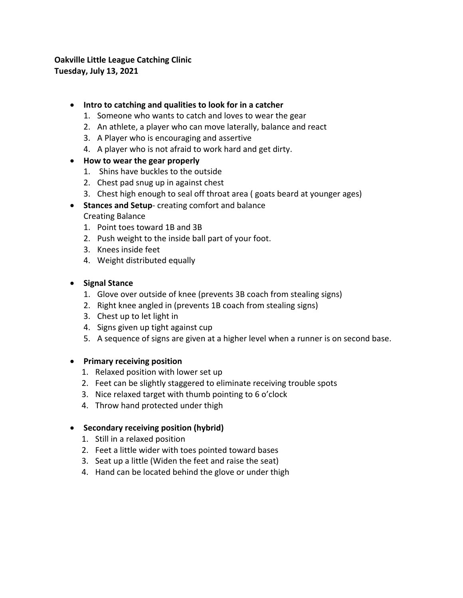# **Oakville Little League Catching Clinic Tuesday, July 13, 2021**

### • **Intro to catching and qualities to look for in a catcher**

- 1. Someone who wants to catch and loves to wear the gear
- 2. An athlete, a player who can move laterally, balance and react
- 3. A Player who is encouraging and assertive
- 4. A player who is not afraid to work hard and get dirty.

### • **How to wear the gear properly**

- 1. Shins have buckles to the outside
- 2. Chest pad snug up in against chest
- 3. Chest high enough to seal off throat area ( goats beard at younger ages)
- **Stances and Setup** creating comfort and balance Creating Balance
	- 1. Point toes toward 1B and 3B
	- 2. Push weight to the inside ball part of your foot.
	- 3. Knees inside feet
	- 4. Weight distributed equally

### • **Signal Stance**

- 1. Glove over outside of knee (prevents 3B coach from stealing signs)
- 2. Right knee angled in (prevents 1B coach from stealing signs)
- 3. Chest up to let light in
- 4. Signs given up tight against cup
- 5. A sequence of signs are given at a higher level when a runner is on second base.

#### • **Primary receiving position**

- 1. Relaxed position with lower set up
- 2. Feet can be slightly staggered to eliminate receiving trouble spots
- 3. Nice relaxed target with thumb pointing to 6 o'clock
- 4. Throw hand protected under thigh

## • **Secondary receiving position (hybrid)**

- 1. Still in a relaxed position
- 2. Feet a little wider with toes pointed toward bases
- 3. Seat up a little (Widen the feet and raise the seat)
- 4. Hand can be located behind the glove or under thigh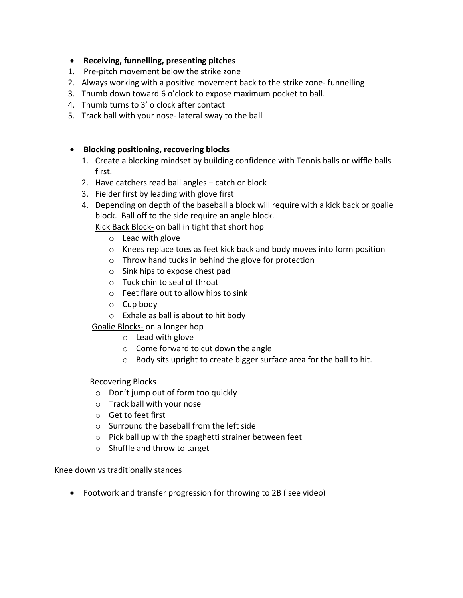- **Receiving, funnelling, presenting pitches**
- 1. Pre-pitch movement below the strike zone
- 2. Always working with a positive movement back to the strike zone- funnelling
- 3. Thumb down toward 6 o'clock to expose maximum pocket to ball.
- 4. Thumb turns to 3' o clock after contact
- 5. Track ball with your nose- lateral sway to the ball

## • **Blocking positioning, recovering blocks**

- 1. Create a blocking mindset by building confidence with Tennis balls or wiffle balls first.
- 2. Have catchers read ball angles catch or block
- 3. Fielder first by leading with glove first
- 4. Depending on depth of the baseball a block will require with a kick back or goalie block. Ball off to the side require an angle block.

Kick Back Block- on ball in tight that short hop

- o Lead with glove
- o Knees replace toes as feet kick back and body moves into form position
- o Throw hand tucks in behind the glove for protection
- o Sink hips to expose chest pad
- o Tuck chin to seal of throat
- o Feet flare out to allow hips to sink
- $\circ$  Cup body
- o Exhale as ball is about to hit body
- Goalie Blocks- on a longer hop
	- o Lead with glove
	- o Come forward to cut down the angle
	- o Body sits upright to create bigger surface area for the ball to hit.

## Recovering Blocks

- o Don't jump out of form too quickly
- o Track ball with your nose
- o Get to feet first
- o Surround the baseball from the left side
- o Pick ball up with the spaghetti strainer between feet
- o Shuffle and throw to target

Knee down vs traditionally stances

• Footwork and transfer progression for throwing to 2B ( see video)